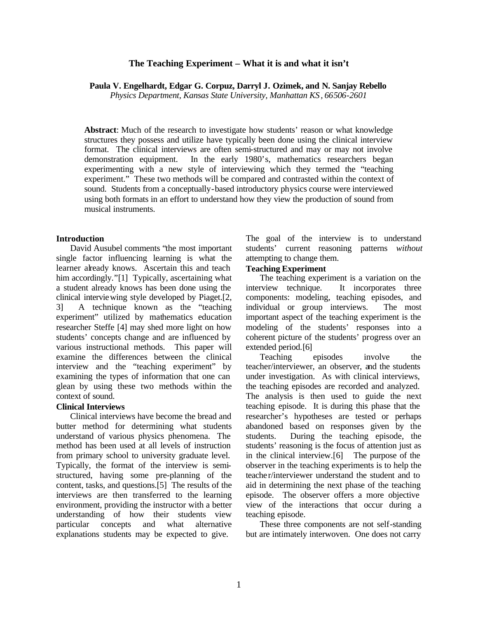## **The Teaching Experiment – What it is and what it isn't**

**Paula V. Engelhardt, Edgar G. Corpuz, Darryl J. Ozimek, and N. Sanjay Rebello**

*Physics Department, Kansas State University, Manhattan KS, 66506-2601*

**Abstract**: Much of the research to investigate how students' reason or what knowledge structures they possess and utilize have typically been done using the clinical interview format. The clinical interviews are often semi-structured and may or may not involve demonstration equipment. In the early 1980's, mathematics researchers began experimenting with a new style of interviewing which they termed the "teaching experiment." These two methods will be compared and contrasted within the context of sound. Students from a conceptually-based introductory physics course were interviewed using both formats in an effort to understand how they view the production of sound from musical instruments.

#### **Introduction**

David Ausubel comments "the most important single factor influencing learning is what the learner already knows. Ascertain this and teach him accordingly."[1] Typically, ascertaining what a student already knows has been done using the clinical interviewing style developed by Piaget.[2, 3] A technique known as the "teaching experiment" utilized by mathematics education researcher Steffe [4] may shed more light on how students' concepts change and are influenced by various instructional methods. This paper will examine the differences between the clinical interview and the "teaching experiment" by examining the types of information that one can glean by using these two methods within the context of sound.

### **Clinical Interviews**

Clinical interviews have become the bread and butter method for determining what students understand of various physics phenomena. The method has been used at all levels of instruction from primary school to university graduate level. Typically, the format of the interview is semistructured, having some pre-planning of the content, tasks, and questions.[5] The results of the interviews are then transferred to the learning environment, providing the instructor with a better understanding of how their students view particular concepts and what alternative explanations students may be expected to give.

The goal of the interview is to understand students' current reasoning patterns *without* attempting to change them.

## **Teaching Experiment**

The teaching experiment is a variation on the interview technique. It incorporates three components: modeling, teaching episodes, and individual or group interviews. The most important aspect of the teaching experiment is the modeling of the students' responses into a coherent picture of the students' progress over an extended period.[6]

Teaching episodes involve the teacher/interviewer, an observer, and the students under investigation. As with clinical interviews, the teaching episodes are recorded and analyzed. The analysis is then used to guide the next teaching episode. It is during this phase that the researcher's hypotheses are tested or perhaps abandoned based on responses given by the students. During the teaching episode, the students' reasoning is the focus of attention just as in the clinical interview.[6] The purpose of the observer in the teaching experiments is to help the teacher/interviewer understand the student and to aid in determining the next phase of the teaching episode. The observer offers a more objective view of the interactions that occur during a teaching episode.

These three components are not self-standing but are intimately interwoven. One does not carry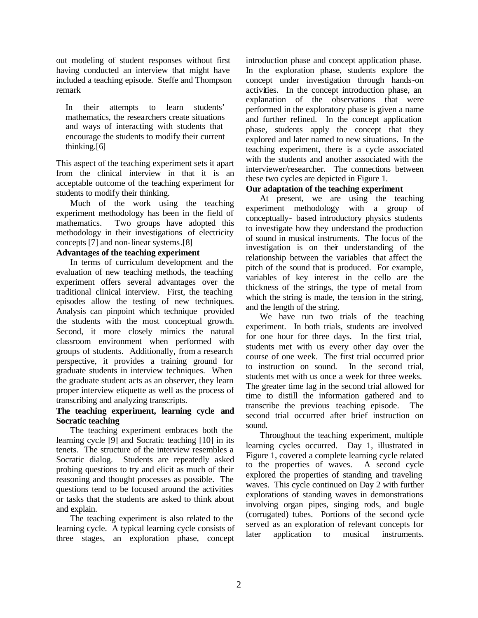out modeling of student responses without first having conducted an interview that might have included a teaching episode. Steffe and Thompson remark

In their attempts to learn students' mathematics, the researchers create situations and ways of interacting with students that encourage the students to modify their current thinking.[6]

This aspect of the teaching experiment sets it apart from the clinical interview in that it is an acceptable outcome of the teaching experiment for students to modify their thinking.

Much of the work using the teaching experiment methodology has been in the field of mathematics. Two groups have adopted this methodology in their investigations of electricity concepts [7] and non-linear systems.[8]

## **Advantages of the teaching experiment**

In terms of curriculum development and the evaluation of new teaching methods, the teaching experiment offers several advantages over the traditional clinical interview. First, the teaching episodes allow the testing of new techniques. Analysis can pinpoint which technique provided the students with the most conceptual growth. Second, it more closely mimics the natural classroom environment when performed with groups of students. Additionally, from a research perspective, it provides a training ground for graduate students in interview techniques. When the graduate student acts as an observer, they learn proper interview etiquette as well as the process of transcribing and analyzing transcripts.

## **The teaching experiment, learning cycle and Socratic teaching**

The teaching experiment embraces both the learning cycle [9] and Socratic teaching [10] in its tenets. The structure of the interview resembles a Socratic dialog. Students are repeatedly asked probing questions to try and elicit as much of their reasoning and thought processes as possible. The questions tend to be focused around the activities or tasks that the students are asked to think about and explain.

The teaching experiment is also related to the learning cycle. A typical learning cycle consists of three stages, an exploration phase, concept introduction phase and concept application phase. In the exploration phase, students explore the concept under investigation through hands-on activities. In the concept introduction phase, an explanation of the observations that were performed in the exploratory phase is given a name and further refined. In the concept application phase, students apply the concept that they explored and later named to new situations. In the teaching experiment, there is a cycle associated with the students and another associated with the interviewer/researcher. The connections between these two cycles are depicted in Figure 1.

# **Our adaptation of the teaching experiment**

At present, we are using the teaching experiment methodology with a group of conceptually- based introductory physics students to investigate how they understand the production of sound in musical instruments. The focus of the investigation is on their understanding of the relationship between the variables that affect the pitch of the sound that is produced. For example, variables of key interest in the cello are the thickness of the strings, the type of metal from which the string is made, the tension in the string, and the length of the string.

We have run two trials of the teaching experiment. In both trials, students are involved for one hour for three days. In the first trial, students met with us every other day over the course of one week. The first trial occurred prior to instruction on sound. In the second trial, students met with us once a week for three weeks. The greater time lag in the second trial allowed for time to distill the information gathered and to transcribe the previous teaching episode. The second trial occurred after brief instruction on sound.

Throughout the teaching experiment, multiple learning cycles occurred. Day 1, illustrated in Figure 1, covered a complete learning cycle related to the properties of waves. A second cycle explored the properties of standing and traveling waves. This cycle continued on Day 2 with further explorations of standing waves in demonstrations involving organ pipes, singing rods, and bugle (corrugated) tubes. Portions of the second cycle served as an exploration of relevant concepts for later application to musical instruments.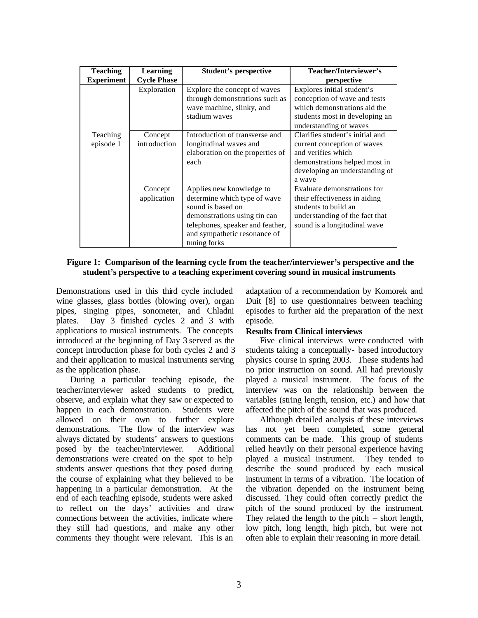| <b>Teaching</b>   | Learning           | <b>Student's perspective</b>     | Teacher/Interviewer's           |
|-------------------|--------------------|----------------------------------|---------------------------------|
| <b>Experiment</b> | <b>Cycle Phase</b> |                                  | perspective                     |
|                   | Exploration        | Explore the concept of waves     | Explores initial student's      |
|                   |                    | through demonstrations such as   | conception of wave and tests    |
|                   |                    | wave machine, slinky, and        | which demonstrations aid the    |
|                   |                    | stadium waves                    | students most in developing an  |
|                   |                    |                                  | understanding of waves          |
| Teaching          | Concept            | Introduction of transverse and   | Clarifies student's initial and |
| episode 1         | introduction       | longitudinal waves and           | current conception of waves     |
|                   |                    | elaboration on the properties of | and verifies which              |
|                   |                    | each                             | demonstrations helped most in   |
|                   |                    |                                  | developing an understanding of  |
|                   |                    |                                  | a wave                          |
|                   | Concept            | Applies new knowledge to         | Evaluate demonstrations for     |
|                   | application        | determine which type of wave     | their effectiveness in aiding   |
|                   |                    | sound is based on                | students to build an            |
|                   |                    | demonstrations using tin can     | understanding of the fact that  |
|                   |                    | telephones, speaker and feather, | sound is a longitudinal wave    |
|                   |                    | and sympathetic resonance of     |                                 |
|                   |                    | tuning forks                     |                                 |

## **Figure 1: Comparison of the learning cycle from the teacher/interviewer's perspective and the student's perspective to a teaching experiment covering sound in musical instruments**

Demonstrations used in this third cycle included wine glasses, glass bottles (blowing over), organ pipes, singing pipes, sonometer, and Chladni plates. Day 3 finished cycles 2 and 3 with applications to musical instruments. The concepts introduced at the beginning of Day 3 served as the concept introduction phase for both cycles 2 and 3 and their application to musical instruments serving as the application phase.

During a particular teaching episode, the teacher/interviewer asked students to predict, observe, and explain what they saw or expected to happen in each demonstration. Students were allowed on their own to further explore demonstrations. The flow of the interview was always dictated by students' answers to questions posed by the teacher/interviewer. Additional demonstrations were created on the spot to help students answer questions that they posed during the course of explaining what they believed to be happening in a particular demonstration. At the end of each teaching episode, students were asked to reflect on the days' activities and draw connections between the activities, indicate where they still had questions, and make any other comments they thought were relevant. This is an

adaptation of a recommendation by Komorek and Duit [8] to use questionnaires between teaching episodes to further aid the preparation of the next episode.

### **Results from Clinical interviews**

Five clinical interviews were conducted with students taking a conceptually- based introductory physics course in spring 2003. These students had no prior instruction on sound. All had previously played a musical instrument. The focus of the interview was on the relationship between the variables (string length, tension, etc.) and how that affected the pitch of the sound that was produced.

Although detailed analysis of these interviews has not yet been completed, some general comments can be made. This group of students relied heavily on their personal experience having played a musical instrument. They tended to describe the sound produced by each musical instrument in terms of a vibration. The location of the vibration depended on the instrument being discussed. They could often correctly predict the pitch of the sound produced by the instrument. They related the length to the pitch – short length, low pitch, long length, high pitch, but were not often able to explain their reasoning in more detail.